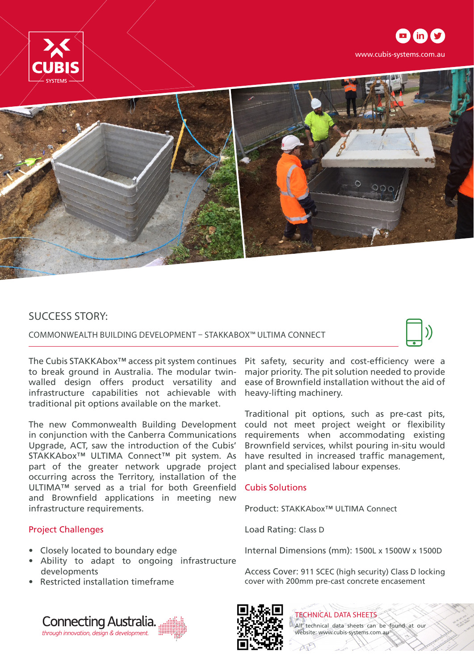





## SUCCESS STORY:

COMMONWEALTH BUILDING DEVELOPMENT – STAKKABOX™ ULTIMA CONNECT



The Cubis STAKKAbox™ access pit system continues to break ground in Australia. The modular twinwalled design offers product versatility and infrastructure capabilities not achievable with traditional pit options available on the market.

The new Commonwealth Building Development in conjunction with the Canberra Communications Upgrade, ACT, saw the introduction of the Cubis' STAKKAbox™ ULTIMA Connect™ pit system. As part of the greater network upgrade project occurring across the Territory, installation of the ULTIMA™ served as a trial for both Greenfield Cubis Solutions and Brownfield applications in meeting new infrastructure requirements.

## Project Challenges

- Closely located to boundary edge
- Ability to adapt to ongoing infrastructure developments
- Restricted installation timeframe

Pit safety, security and cost-efficiency were a major priority. The pit solution needed to provide ease of Brownfield installation without the aid of heavy-lifting machinery.

Traditional pit options, such as pre-cast pits, could not meet project weight or flexibility requirements when accommodating existing Brownfield services, whilst pouring in-situ would have resulted in increased traffic management, plant and specialised labour expenses.

Product: STAKKAbox™ ULTIMA Connect

Load Rating: Class D

Internal Dimensions (mm): 1500L x 1500W x 1500D

Access Cover: 911 SCEC (high security) Class D locking cover with 200mm pre-cast concrete encasement





TECHNICAL DATA SHEETS All technical data sheets can be found at our website: www.cubis-systems.com.au